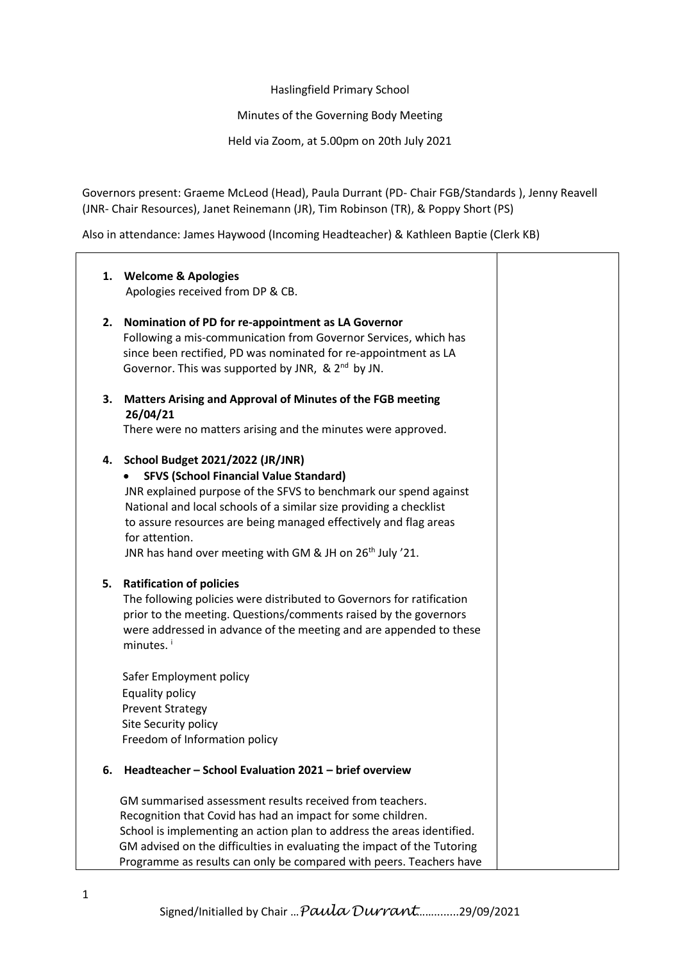Haslingfield Primary School

Minutes of the Governing Body Meeting

Held via Zoom, at 5.00pm on 20th July 2021

Governors present: Graeme McLeod (Head), Paula Durrant (PD- Chair FGB/Standards ), Jenny Reavell (JNR- Chair Resources), Janet Reinemann (JR), Tim Robinson (TR), & Poppy Short (PS)

Also in attendance: James Haywood (Incoming Headteacher) & Kathleen Baptie (Clerk KB)

|    | 1. Welcome & Apologies                                                  |  |
|----|-------------------------------------------------------------------------|--|
|    | Apologies received from DP & CB.                                        |  |
|    |                                                                         |  |
| 2. | Nomination of PD for re-appointment as LA Governor                      |  |
|    | Following a mis-communication from Governor Services, which has         |  |
|    | since been rectified, PD was nominated for re-appointment as LA         |  |
|    | Governor. This was supported by JNR, & 2 <sup>nd</sup> by JN.           |  |
| 3. | <b>Matters Arising and Approval of Minutes of the FGB meeting</b>       |  |
|    | 26/04/21                                                                |  |
|    | There were no matters arising and the minutes were approved.            |  |
|    | 4. School Budget 2021/2022 (JR/JNR)                                     |  |
|    | <b>SFVS (School Financial Value Standard)</b>                           |  |
|    | JNR explained purpose of the SFVS to benchmark our spend against        |  |
|    | National and local schools of a similar size providing a checklist      |  |
|    | to assure resources are being managed effectively and flag areas        |  |
|    | for attention.                                                          |  |
|    | JNR has hand over meeting with GM & JH on 26 <sup>th</sup> July '21.    |  |
|    |                                                                         |  |
| 5. | <b>Ratification of policies</b>                                         |  |
|    | The following policies were distributed to Governors for ratification   |  |
|    | prior to the meeting. Questions/comments raised by the governors        |  |
|    | were addressed in advance of the meeting and are appended to these      |  |
|    | minutes. <sup>1</sup>                                                   |  |
|    |                                                                         |  |
|    | Safer Employment policy                                                 |  |
|    | Equality policy                                                         |  |
|    | <b>Prevent Strategy</b>                                                 |  |
|    | Site Security policy                                                    |  |
|    | Freedom of Information policy                                           |  |
| 6. | Headteacher - School Evaluation 2021 - brief overview                   |  |
|    | GM summarised assessment results received from teachers.                |  |
|    | Recognition that Covid has had an impact for some children.             |  |
|    | School is implementing an action plan to address the areas identified.  |  |
|    | GM advised on the difficulties in evaluating the impact of the Tutoring |  |
|    | Programme as results can only be compared with peers. Teachers have     |  |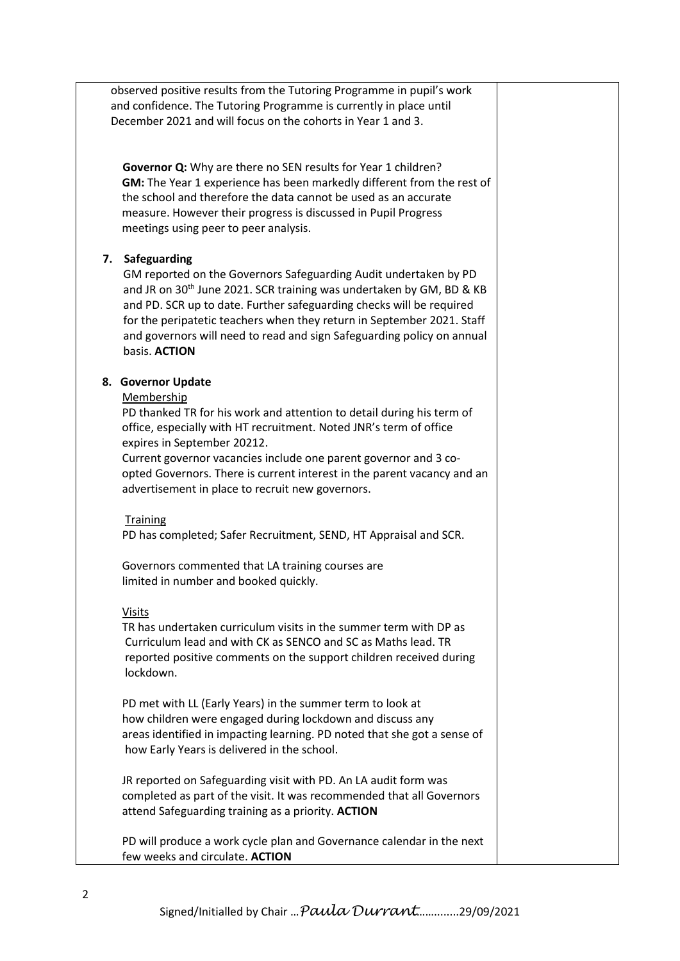observed positive results from the Tutoring Programme in pupil's work and confidence. The Tutoring Programme is currently in place until December 2021 and will focus on the cohorts in Year 1 and 3. **Governor Q:** Why are there no SEN results for Year 1 children? **GM:** The Year 1 experience has been markedly different from the rest of the school and therefore the data cannot be used as an accurate measure. However their progress is discussed in Pupil Progress meetings using peer to peer analysis. **7. Safeguarding** GM reported on the Governors Safeguarding Audit undertaken by PD and JR on 30<sup>th</sup> June 2021. SCR training was undertaken by GM, BD & KB and PD. SCR up to date. Further safeguarding checks will be required for the peripatetic teachers when they return in September 2021. Staff and governors will need to read and sign Safeguarding policy on annual basis. **ACTION 8. Governor Update** Membership PD thanked TR for his work and attention to detail during his term of office, especially with HT recruitment. Noted JNR's term of office expires in September 20212. Current governor vacancies include one parent governor and 3 co opted Governors. There is current interest in the parent vacancy and an advertisement in place to recruit new governors. **Training**  PD has completed; Safer Recruitment, SEND, HT Appraisal and SCR. Governors commented that LA training courses are limited in number and booked quickly. Visits TR has undertaken curriculum visits in the summer term with DP as Curriculum lead and with CK as SENCO and SC as Maths lead. TR reported positive comments on the support children received during lockdown. PD met with LL (Early Years) in the summer term to look at how children were engaged during lockdown and discuss any areas identified in impacting learning. PD noted that she got a sense of how Early Years is delivered in the school. JR reported on Safeguarding visit with PD. An LA audit form was completed as part of the visit. It was recommended that all Governors attend Safeguarding training as a priority. **ACTION** PD will produce a work cycle plan and Governance calendar in the next

Signed/Initialled by Chair …*Paula Durrant*……........29/09/2021

few weeks and circulate. **ACTION**